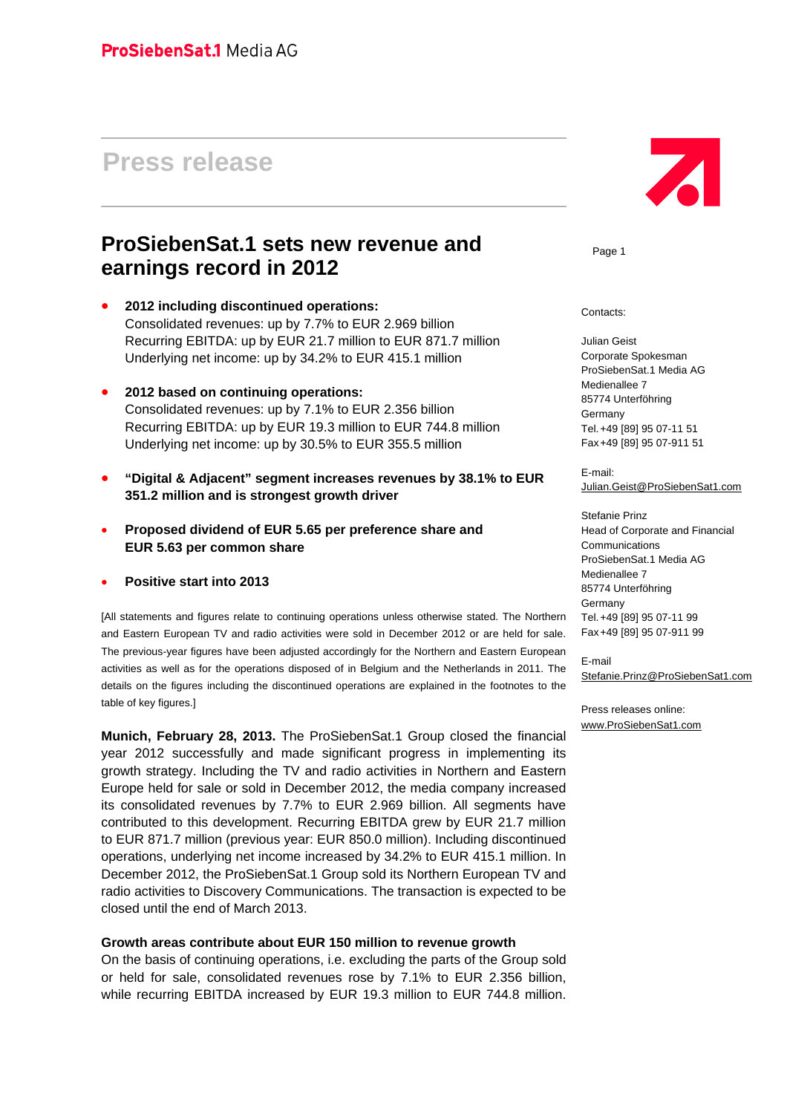# **Press release**

# **ProSiebenSat.1 sets new revenue and earnings record in 2012**

- **2012 including discontinued operations:** Consolidated revenues: up by 7.7% to EUR 2.969 billion Recurring EBITDA: up by EUR 21.7 million to EUR 871.7 million Underlying net income: up by 34.2% to EUR 415.1 million
- **2012 based on continuing operations:** Consolidated revenues: up by 7.1% to EUR 2.356 billion Recurring EBITDA: up by EUR 19.3 million to EUR 744.8 million Underlying net income: up by 30.5% to EUR 355.5 million
- **"Digital & Adjacent" segment increases revenues by 38.1% to EUR 351.2 million and is strongest growth driver**
- **Proposed dividend of EUR 5.65 per preference share and EUR 5.63 per common share**

## **Positive start into 2013**

[All statements and figures relate to continuing operations unless otherwise stated. The Northern and Eastern European TV and radio activities were sold in December 2012 or are held for sale. The previous-year figures have been adjusted accordingly for the Northern and Eastern European activities as well as for the operations disposed of in Belgium and the Netherlands in 2011. The details on the figures including the discontinued operations are explained in the footnotes to the table of key figures.]

**Munich, February 28, 2013.** The ProSiebenSat.1 Group closed the financial year 2012 successfully and made significant progress in implementing its growth strategy. Including the TV and radio activities in Northern and Eastern Europe held for sale or sold in December 2012, the media company increased its consolidated revenues by 7.7% to EUR 2.969 billion. All segments have contributed to this development. Recurring EBITDA grew by EUR 21.7 million to EUR 871.7 million (previous year: EUR 850.0 million). Including discontinued operations, underlying net income increased by 34.2% to EUR 415.1 million. In December 2012, the ProSiebenSat.1 Group sold its Northern European TV and radio activities to Discovery Communications. The transaction is expected to be closed until the end of March 2013.

## **Growth areas contribute about EUR 150 million to revenue growth**

On the basis of continuing operations, i.e. excluding the parts of the Group sold or held for sale, consolidated revenues rose by 7.1% to EUR 2.356 billion, while recurring EBITDA increased by EUR 19.3 million to EUR 744.8 million.



Page 1

Contacts:

Julian Geist Corporate Spokesman ProSiebenSat.1 Media AG Medienallee 7 85774 Unterföhring Germany Tel. +49 [89] 95 07-11 51 Fax +49 [89] 95 07-911 51

E-mail: Julian.Geist@ProSiebenSat1.com

Stefanie Prinz Head of Corporate and Financial **Communications** ProSiebenSat.1 Media AG Medienallee 7 85774 Unterföhring **Germany** Tel. +49 [89] 95 07-11 99 Fax +49 [89] 95 07-911 99

E-mail Stefanie.Prinz@ProSiebenSat1.com

Press releases online: www.ProSiebenSat1.com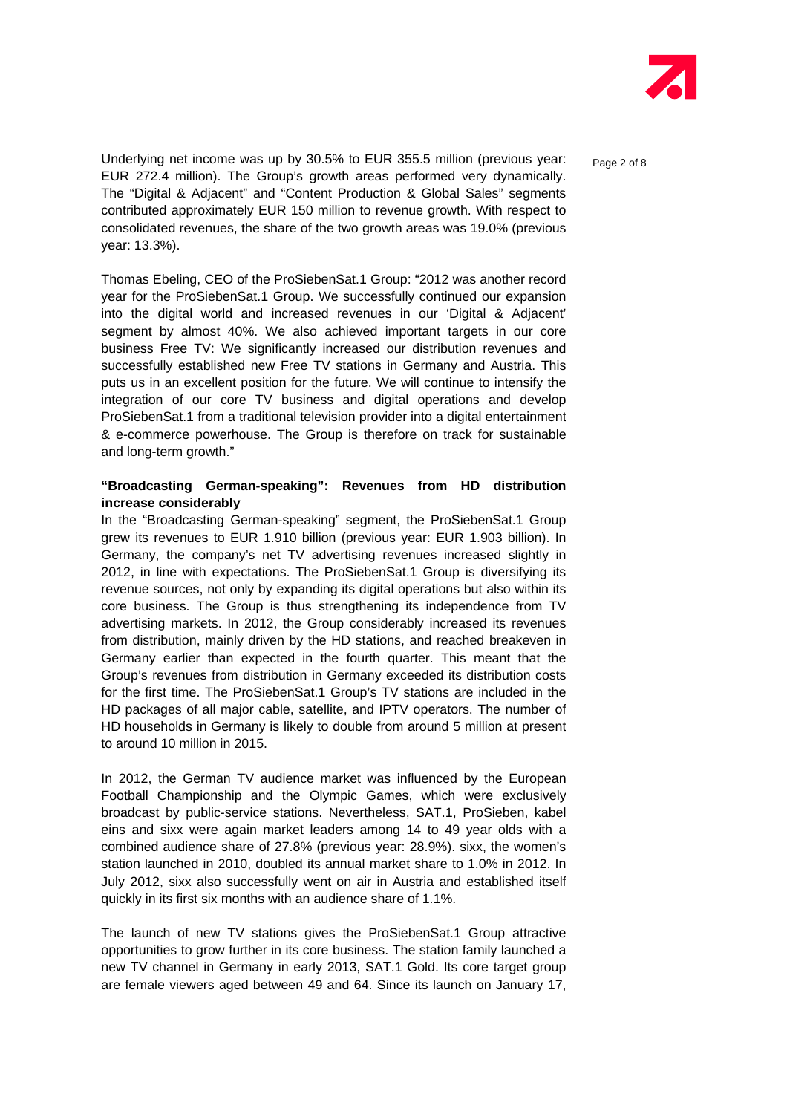

Underlying net income was up by 30.5% to EUR 355.5 million (previous year:  $P_{\text{aae 2 of 8}}$ EUR 272.4 million). The Group's growth areas performed very dynamically. The "Digital & Adjacent" and "Content Production & Global Sales" segments contributed approximately EUR 150 million to revenue growth. With respect to consolidated revenues, the share of the two growth areas was 19.0% (previous year: 13.3%).

Thomas Ebeling, CEO of the ProSiebenSat.1 Group: "2012 was another record year for the ProSiebenSat.1 Group. We successfully continued our expansion into the digital world and increased revenues in our 'Digital & Adjacent' segment by almost 40%. We also achieved important targets in our core business Free TV: We significantly increased our distribution revenues and successfully established new Free TV stations in Germany and Austria. This puts us in an excellent position for the future. We will continue to intensify the integration of our core TV business and digital operations and develop ProSiebenSat.1 from a traditional television provider into a digital entertainment & e-commerce powerhouse. The Group is therefore on track for sustainable and long-term growth."

# **"Broadcasting German-speaking": Revenues from HD distribution increase considerably**

In the "Broadcasting German-speaking" segment, the ProSiebenSat.1 Group grew its revenues to EUR 1.910 billion (previous year: EUR 1.903 billion). In Germany, the company's net TV advertising revenues increased slightly in 2012, in line with expectations. The ProSiebenSat.1 Group is diversifying its revenue sources, not only by expanding its digital operations but also within its core business. The Group is thus strengthening its independence from TV advertising markets. In 2012, the Group considerably increased its revenues from distribution, mainly driven by the HD stations, and reached breakeven in Germany earlier than expected in the fourth quarter. This meant that the Group's revenues from distribution in Germany exceeded its distribution costs for the first time. The ProSiebenSat.1 Group's TV stations are included in the HD packages of all major cable, satellite, and IPTV operators. The number of HD households in Germany is likely to double from around 5 million at present to around 10 million in 2015.

In 2012, the German TV audience market was influenced by the European Football Championship and the Olympic Games, which were exclusively broadcast by public-service stations. Nevertheless, SAT.1, ProSieben, kabel eins and sixx were again market leaders among 14 to 49 year olds with a combined audience share of 27.8% (previous year: 28.9%). sixx, the women's station launched in 2010, doubled its annual market share to 1.0% in 2012. In July 2012, sixx also successfully went on air in Austria and established itself quickly in its first six months with an audience share of 1.1%.

The launch of new TV stations gives the ProSiebenSat.1 Group attractive opportunities to grow further in its core business. The station family launched a new TV channel in Germany in early 2013, SAT.1 Gold. Its core target group are female viewers aged between 49 and 64. Since its launch on January 17,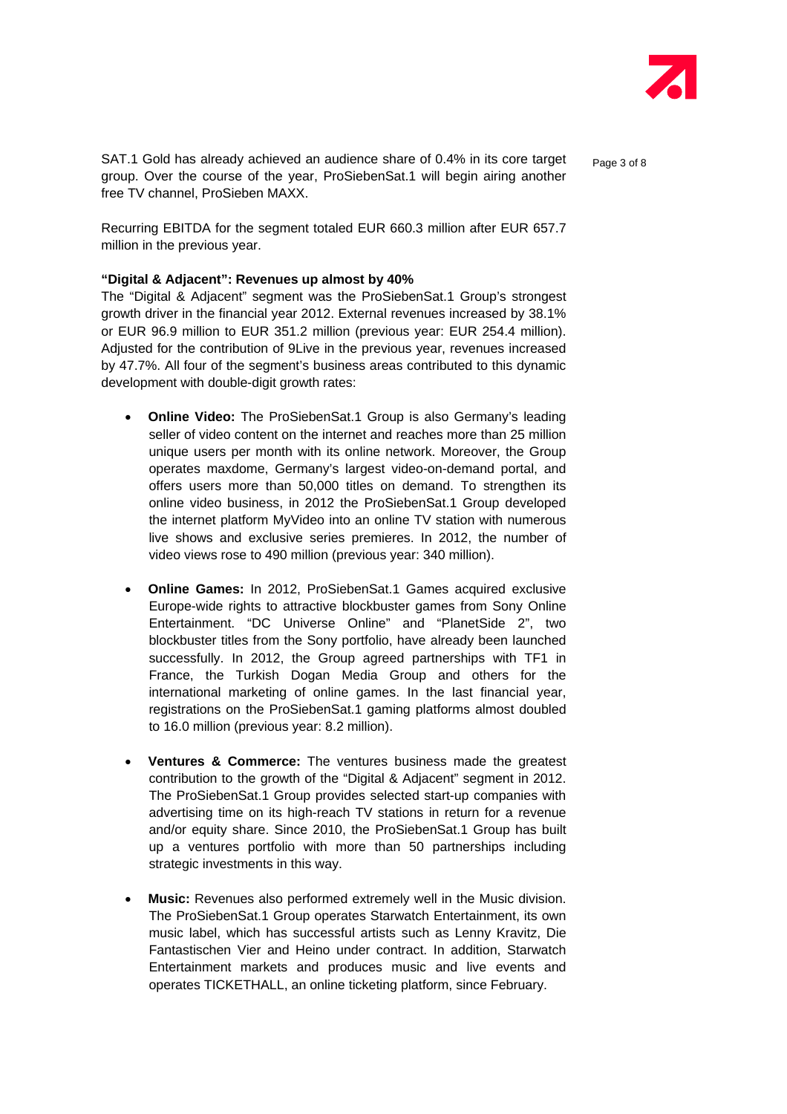

SAT.1 Gold has already achieved an audience share of 0.4% in its core target  $P_{\text{a}ae 3 of 8}$ group. Over the course of the year, ProSiebenSat.1 will begin airing another free TV channel, ProSieben MAXX.

Recurring EBITDA for the segment totaled EUR 660.3 million after EUR 657.7 million in the previous year.

# **"Digital & Adjacent": Revenues up almost by 40%**

The "Digital & Adjacent" segment was the ProSiebenSat.1 Group's strongest growth driver in the financial year 2012. External revenues increased by 38.1% or EUR 96.9 million to EUR 351.2 million (previous year: EUR 254.4 million). Adjusted for the contribution of 9Live in the previous year, revenues increased by 47.7%. All four of the segment's business areas contributed to this dynamic development with double-digit growth rates:

- **Online Video:** The ProSiebenSat.1 Group is also Germany's leading seller of video content on the internet and reaches more than 25 million unique users per month with its online network. Moreover, the Group operates maxdome, Germany's largest video-on-demand portal, and offers users more than 50,000 titles on demand. To strengthen its online video business, in 2012 the ProSiebenSat.1 Group developed the internet platform MyVideo into an online TV station with numerous live shows and exclusive series premieres. In 2012, the number of video views rose to 490 million (previous year: 340 million).
- **Online Games:** In 2012, ProSiebenSat.1 Games acquired exclusive Europe-wide rights to attractive blockbuster games from Sony Online Entertainment. "DC Universe Online" and "PlanetSide 2", two blockbuster titles from the Sony portfolio, have already been launched successfully. In 2012, the Group agreed partnerships with TF1 in France, the Turkish Dogan Media Group and others for the international marketing of online games. In the last financial year, registrations on the ProSiebenSat.1 gaming platforms almost doubled to 16.0 million (previous year: 8.2 million).
- **Ventures & Commerce:** The ventures business made the greatest contribution to the growth of the "Digital & Adjacent" segment in 2012. The ProSiebenSat.1 Group provides selected start-up companies with advertising time on its high-reach TV stations in return for a revenue and/or equity share. Since 2010, the ProSiebenSat.1 Group has built up a ventures portfolio with more than 50 partnerships including strategic investments in this way.
- **Music:** Revenues also performed extremely well in the Music division. The ProSiebenSat.1 Group operates Starwatch Entertainment, its own music label, which has successful artists such as Lenny Kravitz, Die Fantastischen Vier and Heino under contract. In addition, Starwatch Entertainment markets and produces music and live events and operates TICKETHALL, an online ticketing platform, since February.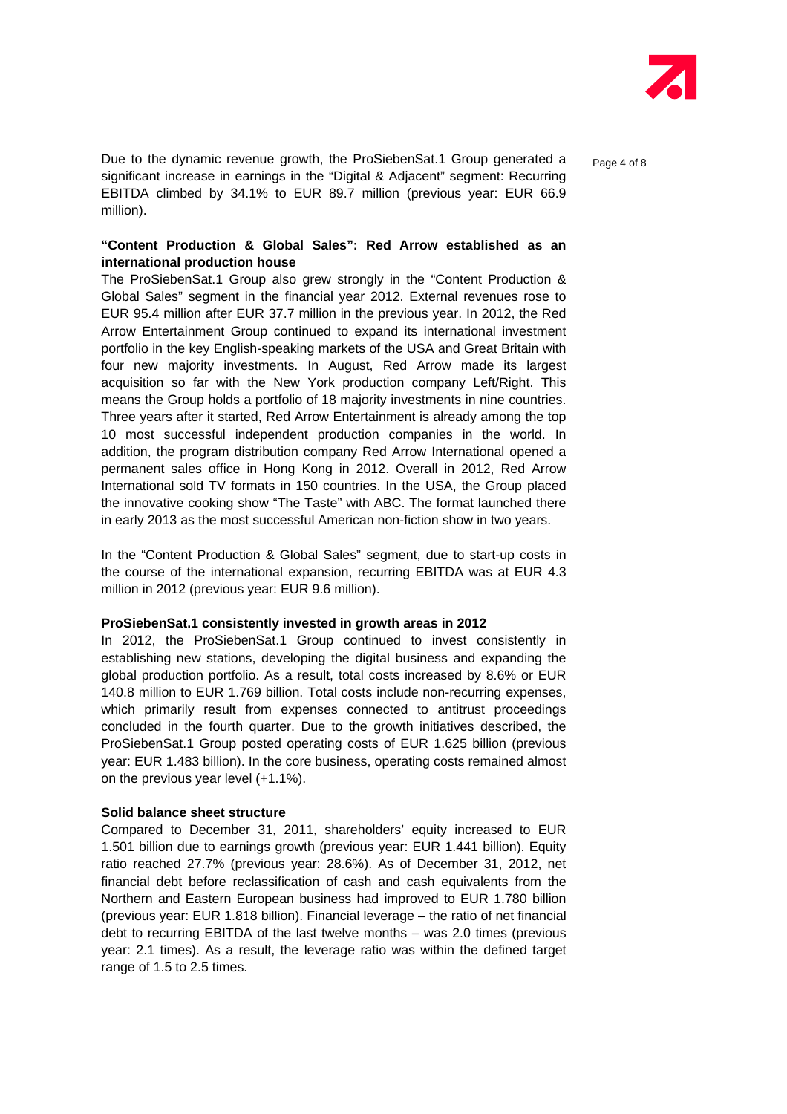

Due to the dynamic revenue growth, the ProSiebenSat.1 Group generated a  $P_{\text{a}ae 4 of 8}$ significant increase in earnings in the "Digital & Adjacent" segment: Recurring EBITDA climbed by 34.1% to EUR 89.7 million (previous year: EUR 66.9 million).

# **"Content Production & Global Sales": Red Arrow established as an international production house**

The ProSiebenSat.1 Group also grew strongly in the "Content Production & Global Sales" segment in the financial year 2012. External revenues rose to EUR 95.4 million after EUR 37.7 million in the previous year. In 2012, the Red Arrow Entertainment Group continued to expand its international investment portfolio in the key English-speaking markets of the USA and Great Britain with four new majority investments. In August, Red Arrow made its largest acquisition so far with the New York production company Left/Right. This means the Group holds a portfolio of 18 majority investments in nine countries. Three years after it started, Red Arrow Entertainment is already among the top 10 most successful independent production companies in the world. In addition, the program distribution company Red Arrow International opened a permanent sales office in Hong Kong in 2012. Overall in 2012, Red Arrow International sold TV formats in 150 countries. In the USA, the Group placed the innovative cooking show "The Taste" with ABC. The format launched there in early 2013 as the most successful American non-fiction show in two years.

In the "Content Production & Global Sales" segment, due to start-up costs in the course of the international expansion, recurring EBITDA was at EUR 4.3 million in 2012 (previous year: EUR 9.6 million).

#### **ProSiebenSat.1 consistently invested in growth areas in 2012**

In 2012, the ProSiebenSat.1 Group continued to invest consistently in establishing new stations, developing the digital business and expanding the global production portfolio. As a result, total costs increased by 8.6% or EUR 140.8 million to EUR 1.769 billion. Total costs include non-recurring expenses, which primarily result from expenses connected to antitrust proceedings concluded in the fourth quarter. Due to the growth initiatives described, the ProSiebenSat.1 Group posted operating costs of EUR 1.625 billion (previous year: EUR 1.483 billion). In the core business, operating costs remained almost on the previous year level (+1.1%).

## **Solid balance sheet structure**

Compared to December 31, 2011, shareholders' equity increased to EUR 1.501 billion due to earnings growth (previous year: EUR 1.441 billion). Equity ratio reached 27.7% (previous year: 28.6%). As of December 31, 2012, net financial debt before reclassification of cash and cash equivalents from the Northern and Eastern European business had improved to EUR 1.780 billion (previous year: EUR 1.818 billion). Financial leverage – the ratio of net financial debt to recurring EBITDA of the last twelve months – was 2.0 times (previous year: 2.1 times). As a result, the leverage ratio was within the defined target range of 1.5 to 2.5 times.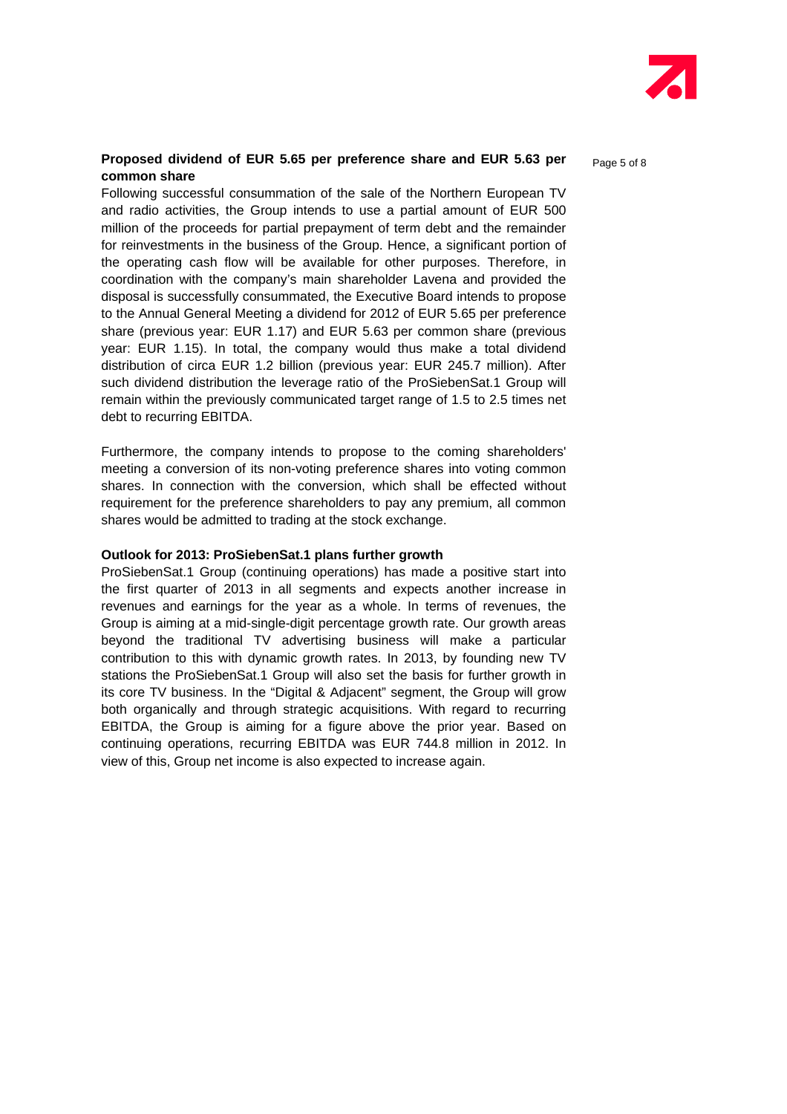

## **Proposed dividend of EUR 5.65 per preference share and EUR 5.63 per**  $P_{\text{age 5 of 8}}$ **common share**

Following successful consummation of the sale of the Northern European TV and radio activities, the Group intends to use a partial amount of EUR 500 million of the proceeds for partial prepayment of term debt and the remainder for reinvestments in the business of the Group. Hence, a significant portion of the operating cash flow will be available for other purposes. Therefore, in coordination with the company's main shareholder Lavena and provided the disposal is successfully consummated, the Executive Board intends to propose to the Annual General Meeting a dividend for 2012 of EUR 5.65 per preference share (previous year: EUR 1.17) and EUR 5.63 per common share (previous year: EUR 1.15). In total, the company would thus make a total dividend distribution of circa EUR 1.2 billion (previous year: EUR 245.7 million). After such dividend distribution the leverage ratio of the ProSiebenSat.1 Group will remain within the previously communicated target range of 1.5 to 2.5 times net debt to recurring EBITDA.

Furthermore, the company intends to propose to the coming shareholders' meeting a conversion of its non-voting preference shares into voting common shares. In connection with the conversion, which shall be effected without requirement for the preference shareholders to pay any premium, all common shares would be admitted to trading at the stock exchange.

## **Outlook for 2013: ProSiebenSat.1 plans further growth**

ProSiebenSat.1 Group (continuing operations) has made a positive start into the first quarter of 2013 in all segments and expects another increase in revenues and earnings for the year as a whole. In terms of revenues, the Group is aiming at a mid-single-digit percentage growth rate. Our growth areas beyond the traditional TV advertising business will make a particular contribution to this with dynamic growth rates. In 2013, by founding new TV stations the ProSiebenSat.1 Group will also set the basis for further growth in its core TV business. In the "Digital & Adjacent" segment, the Group will grow both organically and through strategic acquisitions. With regard to recurring EBITDA, the Group is aiming for a figure above the prior year. Based on continuing operations, recurring EBITDA was EUR 744.8 million in 2012. In view of this, Group net income is also expected to increase again.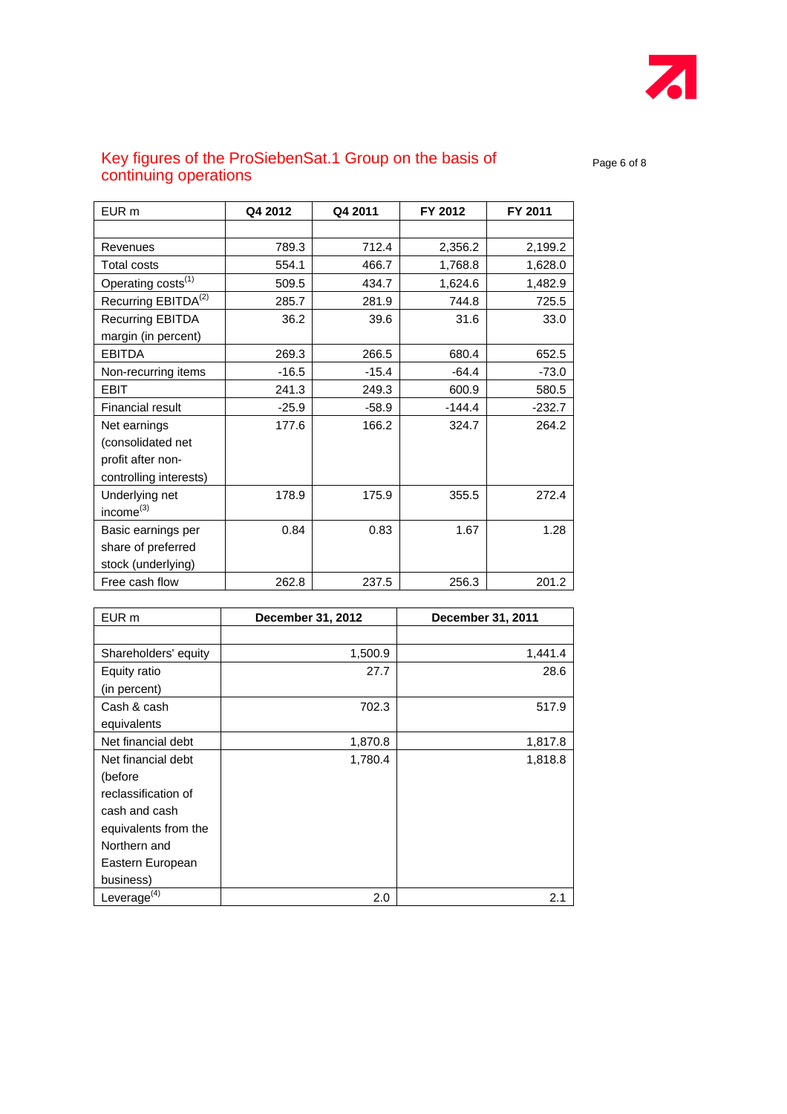

# Key figures of the ProSiebenSat.1 Group on the basis of  $P_{\text{Page 6 of 8}}$ continuing operations

| EUR <sub>m</sub>                | Q4 2012 | Q4 2011 | FY 2012  | FY 2011  |
|---------------------------------|---------|---------|----------|----------|
|                                 |         |         |          |          |
| Revenues                        | 789.3   | 712.4   | 2,356.2  | 2,199.2  |
| <b>Total costs</b>              | 554.1   | 466.7   | 1,768.8  | 1,628.0  |
| Operating costs <sup>(1)</sup>  | 509.5   | 434.7   | 1,624.6  | 1,482.9  |
| Recurring EBITDA <sup>(2)</sup> | 285.7   | 281.9   | 744.8    | 725.5    |
| <b>Recurring EBITDA</b>         | 36.2    | 39.6    | 31.6     | 33.0     |
| margin (in percent)             |         |         |          |          |
| <b>EBITDA</b>                   | 269.3   | 266.5   | 680.4    | 652.5    |
| Non-recurring items             | $-16.5$ | $-15.4$ | $-64.4$  | $-73.0$  |
| <b>EBIT</b>                     | 241.3   | 249.3   | 600.9    | 580.5    |
| <b>Financial result</b>         | $-25.9$ | $-58.9$ | $-144.4$ | $-232.7$ |
| Net earnings                    | 177.6   | 166.2   | 324.7    | 264.2    |
| (consolidated net               |         |         |          |          |
| profit after non-               |         |         |          |          |
| controlling interests)          |         |         |          |          |
| Underlying net                  | 178.9   | 175.9   | 355.5    | 272.4    |
| income <sup>(3)</sup>           |         |         |          |          |
| Basic earnings per              | 0.84    | 0.83    | 1.67     | 1.28     |
| share of preferred              |         |         |          |          |
| stock (underlying)              |         |         |          |          |
| Free cash flow                  | 262.8   | 237.5   | 256.3    | 201.2    |

| EUR m                | December 31, 2012 | December 31, 2011 |  |
|----------------------|-------------------|-------------------|--|
|                      |                   |                   |  |
| Shareholders' equity | 1,500.9           | 1,441.4           |  |
| Equity ratio         | 27.7              | 28.6              |  |
| (in percent)         |                   |                   |  |
| Cash & cash          | 702.3             | 517.9             |  |
| equivalents          |                   |                   |  |
| Net financial debt   | 1,870.8           | 1,817.8           |  |
| Net financial debt   | 1,780.4           | 1,818.8           |  |
| (before              |                   |                   |  |
| reclassification of  |                   |                   |  |
| cash and cash        |                   |                   |  |
| equivalents from the |                   |                   |  |
| Northern and         |                   |                   |  |
| Eastern European     |                   |                   |  |
| business)            |                   |                   |  |
| Leverage $(4)$       | 2.0               | 2.1               |  |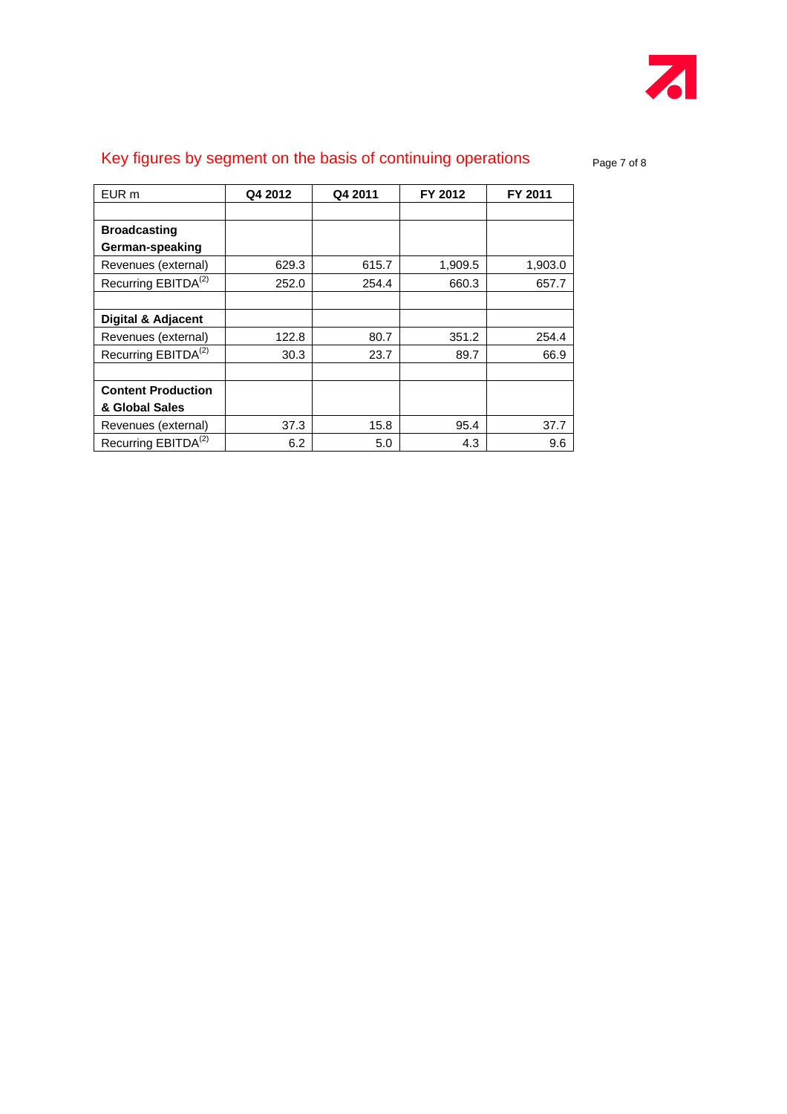

# Key figures by segment on the basis of continuing operations page 7 of 8

| EUR m                           | Q4 2012 | Q4 2011 | FY 2012 | FY 2011 |
|---------------------------------|---------|---------|---------|---------|
|                                 |         |         |         |         |
| <b>Broadcasting</b>             |         |         |         |         |
| German-speaking                 |         |         |         |         |
| Revenues (external)             | 629.3   | 615.7   | 1,909.5 | 1,903.0 |
| Recurring EBITDA <sup>(2)</sup> | 252.0   | 254.4   | 660.3   | 657.7   |
|                                 |         |         |         |         |
| Digital & Adjacent              |         |         |         |         |
| Revenues (external)             | 122.8   | 80.7    | 351.2   | 254.4   |
| Recurring EBITDA <sup>(2)</sup> | 30.3    | 23.7    | 89.7    | 66.9    |
|                                 |         |         |         |         |
| <b>Content Production</b>       |         |         |         |         |
| & Global Sales                  |         |         |         |         |
| Revenues (external)             | 37.3    | 15.8    | 95.4    | 37.7    |
| Recurring EBITDA <sup>(2)</sup> | 6.2     | 5.0     | 4.3     | 9.6     |